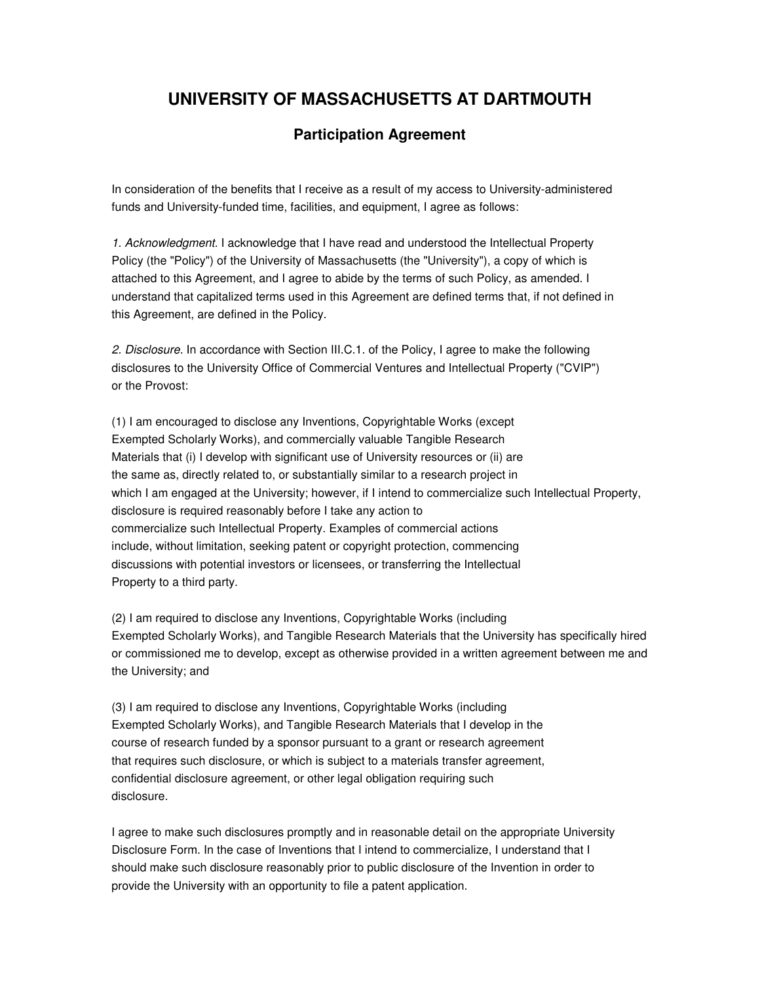## **UNIVERSITY OF MASSACHUSETTS AT DARTMOUTH**

## **Participation Agreement**

In consideration of the benefits that I receive as a result of my access to University-administered funds and University-funded time, facilities, and equipment, I agree as follows:

1. Acknowledgment. I acknowledge that I have read and understood the Intellectual Property Policy (the "Policy") of the University of Massachusetts (the "University"), a copy of which is attached to this Agreement, and I agree to abide by the terms of such Policy, as amended. I understand that capitalized terms used in this Agreement are defined terms that, if not defined in this Agreement, are defined in the Policy.

2. Disclosure. In accordance with Section III.C.1. of the Policy, I agree to make the following disclosures to the University Office of Commercial Ventures and Intellectual Property ("CVIP") or the Provost:

(1) I am encouraged to disclose any Inventions, Copyrightable Works (except Exempted Scholarly Works), and commercially valuable Tangible Research Materials that (i) I develop with significant use of University resources or (ii) are the same as, directly related to, or substantially similar to a research project in which I am engaged at the University; however, if I intend to commercialize such Intellectual Property, disclosure is required reasonably before I take any action to commercialize such Intellectual Property. Examples of commercial actions include, without limitation, seeking patent or copyright protection, commencing discussions with potential investors or licensees, or transferring the Intellectual Property to a third party.

(2) I am required to disclose any Inventions, Copyrightable Works (including Exempted Scholarly Works), and Tangible Research Materials that the University has specifically hired or commissioned me to develop, except as otherwise provided in a written agreement between me and the University; and

(3) I am required to disclose any Inventions, Copyrightable Works (including Exempted Scholarly Works), and Tangible Research Materials that I develop in the course of research funded by a sponsor pursuant to a grant or research agreement that requires such disclosure, or which is subject to a materials transfer agreement, confidential disclosure agreement, or other legal obligation requiring such disclosure.

I agree to make such disclosures promptly and in reasonable detail on the appropriate University Disclosure Form. In the case of Inventions that I intend to commercialize, I understand that I should make such disclosure reasonably prior to public disclosure of the Invention in order to provide the University with an opportunity to file a patent application.